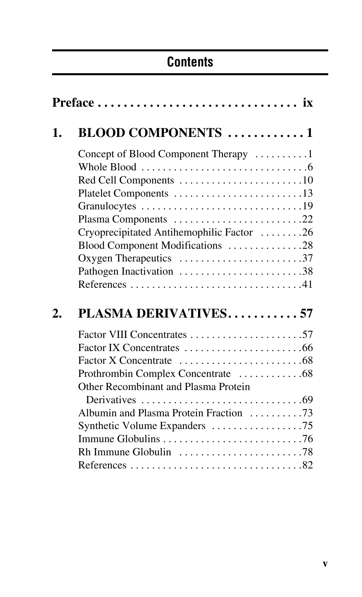## **Contents**

| 1. | <b>BLOOD COMPONENTS</b> 1                                                    |  |  |
|----|------------------------------------------------------------------------------|--|--|
|    | Concept of Blood Component Therapy 1                                         |  |  |
|    | Whole Blood $\ldots \ldots \ldots \ldots \ldots \ldots \ldots \ldots \ldots$ |  |  |
|    |                                                                              |  |  |
|    | Platelet Components 13                                                       |  |  |
|    |                                                                              |  |  |
|    | Plasma Components 22                                                         |  |  |
|    | Cryoprecipitated Antihemophilic Factor 26                                    |  |  |
|    | Blood Component Modifications 28                                             |  |  |
|    | Oxygen Therapeutics 37                                                       |  |  |
|    | Pathogen Inactivation 38                                                     |  |  |
|    |                                                                              |  |  |
|    |                                                                              |  |  |
| 2. | <b>PLASMA DERIVATIVES57</b>                                                  |  |  |
|    |                                                                              |  |  |
|    |                                                                              |  |  |
|    |                                                                              |  |  |
|    | Prothrombin Complex Concentrate 68                                           |  |  |
|    | Other Recombinant and Plasma Protein                                         |  |  |
|    |                                                                              |  |  |
|    | Albumin and Plasma Protein Fraction 73                                       |  |  |
|    |                                                                              |  |  |
|    |                                                                              |  |  |
|    | Rh Immune Globulin $\ldots \ldots \ldots \ldots \ldots \ldots \ldots$ . 78   |  |  |
|    |                                                                              |  |  |
|    |                                                                              |  |  |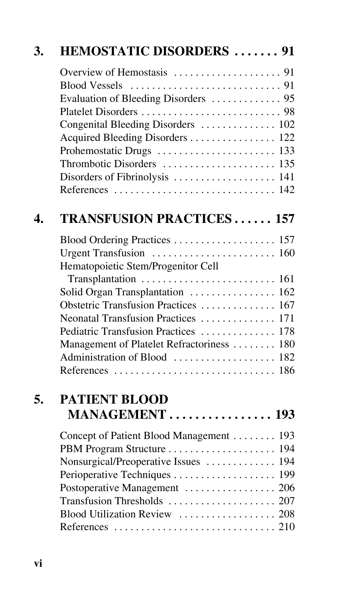| 3. | <b>HEMOSTATIC DISORDERS  91</b>            |  |
|----|--------------------------------------------|--|
|    |                                            |  |
|    |                                            |  |
|    |                                            |  |
|    | Congenital Bleeding Disorders  102         |  |
|    | Acquired Bleeding Disorders 122            |  |
|    |                                            |  |
|    |                                            |  |
|    | Disorders of Fibrinolysis  141             |  |
|    |                                            |  |
| 4. | <b>TRANSFUSION PRACTICES 157</b>           |  |
|    | Blood Ordering Practices  157              |  |
|    | Hematopoietic Stem/Progenitor Cell         |  |
|    |                                            |  |
|    | Solid Organ Transplantation  162           |  |
|    | Obstetric Transfusion Practices  167       |  |
|    | Neonatal Transfusion Practices  171        |  |
|    | Pediatric Transfusion Practices  178       |  |
|    | Management of Platelet Refractoriness  180 |  |
|    | Administration of Blood  182               |  |
|    |                                            |  |
| 5. | <b>PATIENT BLOOD</b>                       |  |
|    | MANAGEMENT 193                             |  |
|    | Concept of Patient Blood Management  193   |  |
|    |                                            |  |
|    | Nonsurgical/Preoperative Issues  194       |  |
|    | Perioperative Techniques  199              |  |
|    | Postoperative Management  206              |  |
|    |                                            |  |
|    | Blood Utilization Review  208              |  |
|    |                                            |  |